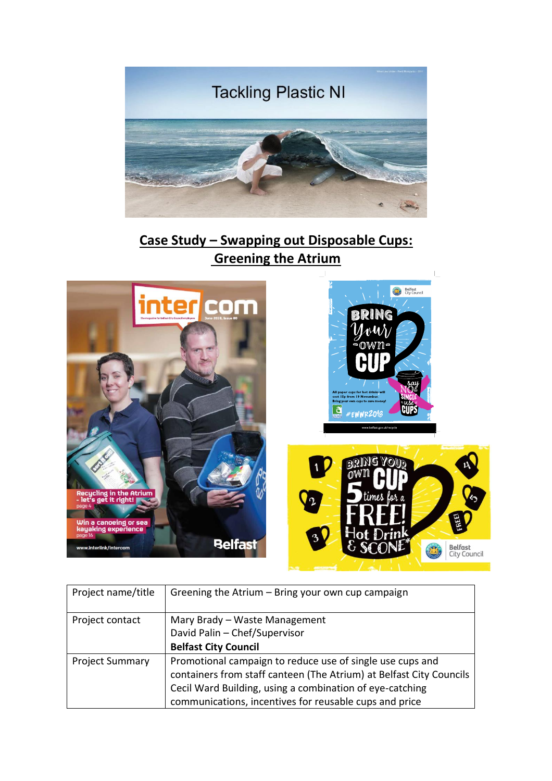

## **Case Study – Swapping out Disposable Cups: Greening the Atrium**



| Project name/title     | Greening the Atrium - Bring your own cup campaign                   |
|------------------------|---------------------------------------------------------------------|
| Project contact        | Mary Brady - Waste Management                                       |
|                        | David Palin - Chef/Supervisor                                       |
|                        | <b>Belfast City Council</b>                                         |
| <b>Project Summary</b> | Promotional campaign to reduce use of single use cups and           |
|                        | containers from staff canteen (The Atrium) at Belfast City Councils |
|                        | Cecil Ward Building, using a combination of eye-catching            |
|                        | communications, incentives for reusable cups and price              |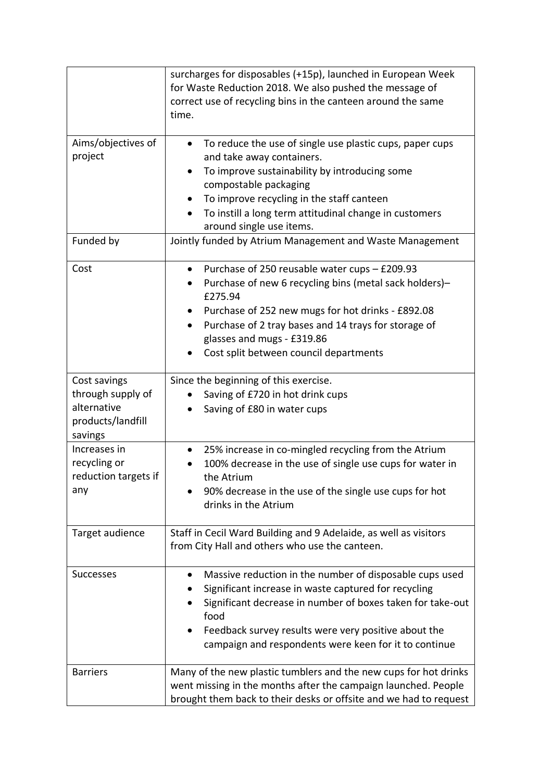|                                                                                  | surcharges for disposables (+15p), launched in European Week<br>for Waste Reduction 2018. We also pushed the message of<br>correct use of recycling bins in the canteen around the same<br>time.                                                                                                                                                       |
|----------------------------------------------------------------------------------|--------------------------------------------------------------------------------------------------------------------------------------------------------------------------------------------------------------------------------------------------------------------------------------------------------------------------------------------------------|
| Aims/objectives of<br>project                                                    | To reduce the use of single use plastic cups, paper cups<br>$\bullet$<br>and take away containers.<br>To improve sustainability by introducing some<br>$\bullet$<br>compostable packaging<br>To improve recycling in the staff canteen<br>$\bullet$<br>To instill a long term attitudinal change in customers<br>$\bullet$<br>around single use items. |
| Funded by                                                                        | Jointly funded by Atrium Management and Waste Management                                                                                                                                                                                                                                                                                               |
| Cost                                                                             | Purchase of 250 reusable water cups - £209.93<br>$\bullet$<br>Purchase of new 6 recycling bins (metal sack holders)-<br>£275.94<br>Purchase of 252 new mugs for hot drinks - £892.08<br>Purchase of 2 tray bases and 14 trays for storage of<br>$\bullet$<br>glasses and mugs - £319.86<br>Cost split between council departments                      |
| Cost savings<br>through supply of<br>alternative<br>products/landfill<br>savings | Since the beginning of this exercise.<br>Saving of £720 in hot drink cups<br>Saving of £80 in water cups                                                                                                                                                                                                                                               |
| Increases in<br>recycling or<br>reduction targets if<br>any                      | 25% increase in co-mingled recycling from the Atrium<br>$\bullet$<br>100% decrease in the use of single use cups for water in<br>the Atrium<br>90% decrease in the use of the single use cups for hot<br>drinks in the Atrium                                                                                                                          |
| Target audience                                                                  | Staff in Cecil Ward Building and 9 Adelaide, as well as visitors<br>from City Hall and others who use the canteen.                                                                                                                                                                                                                                     |
| <b>Successes</b>                                                                 | Massive reduction in the number of disposable cups used<br>Significant increase in waste captured for recycling<br>Significant decrease in number of boxes taken for take-out<br>food<br>Feedback survey results were very positive about the<br>campaign and respondents were keen for it to continue                                                 |
| <b>Barriers</b>                                                                  | Many of the new plastic tumblers and the new cups for hot drinks<br>went missing in the months after the campaign launched. People<br>brought them back to their desks or offsite and we had to request                                                                                                                                                |